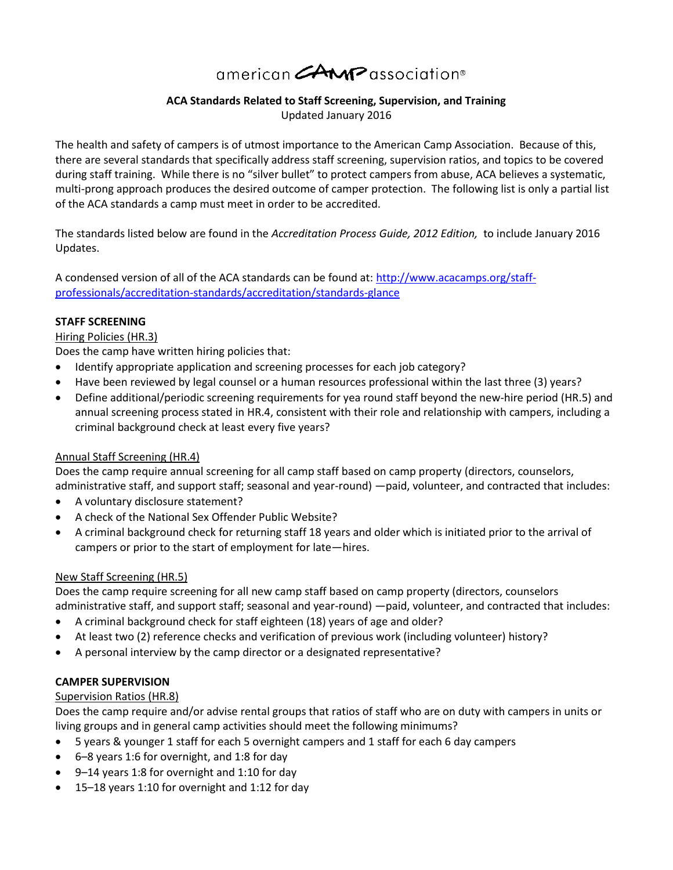# $\alpha$ merican  $\mathcal{A}$ MP association®

# **ACA Standards Related to Staff Screening, Supervision, and Training**

Updated January 2016

The health and safety of campers is of utmost importance to the American Camp Association. Because of this, there are several standards that specifically address staff screening, supervision ratios, and topics to be covered during staff training. While there is no "silver bullet" to protect campers from abuse, ACA believes a systematic, multi-prong approach produces the desired outcome of camper protection. The following list is only a partial list of the ACA standards a camp must meet in order to be accredited.

The standards listed below are found in the *Accreditation Process Guide, 2012 Edition,* to include January 2016 Updates.

A condensed version of all of the ACA standards can be found at: [http://www.acacamps.org/staff](http://www.acacamps.org/staff-professionals/accreditation-standards/accreditation/standards-glance)[professionals/accreditation-standards/accreditation/standards-glance](http://www.acacamps.org/staff-professionals/accreditation-standards/accreditation/standards-glance)

### **STAFF SCREENING**

### Hiring Policies (HR.3)

Does the camp have written hiring policies that:

- Identify appropriate application and screening processes for each job category?
- Have been reviewed by legal counsel or a human resources professional within the last three (3) years?
- Define additional/periodic screening requirements for yea round staff beyond the new-hire period (HR.5) and annual screening process stated in HR.4, consistent with their role and relationship with campers, including a criminal background check at least every five years?

## Annual Staff Screening (HR.4)

Does the camp require annual screening for all camp staff based on camp property (directors, counselors, administrative staff, and support staff; seasonal and year-round) —paid, volunteer, and contracted that includes:

- A voluntary disclosure statement?
- A check of the National Sex Offender Public Website?
- A criminal background check for returning staff 18 years and older which is initiated prior to the arrival of campers or prior to the start of employment for late—hires.

#### New Staff Screening (HR.5)

Does the camp require screening for all new camp staff based on camp property (directors, counselors administrative staff, and support staff; seasonal and year-round) —paid, volunteer, and contracted that includes:

- A criminal background check for staff eighteen (18) years of age and older?
- At least two (2) reference checks and verification of previous work (including volunteer) history?
- A personal interview by the camp director or a designated representative?

#### **CAMPER SUPERVISION**

#### Supervision Ratios (HR.8)

Does the camp require and/or advise rental groups that ratios of staff who are on duty with campers in units or living groups and in general camp activities should meet the following minimums?

- 5 years & younger 1 staff for each 5 overnight campers and 1 staff for each 6 day campers
- 6–8 years 1:6 for overnight, and 1:8 for day
- 9–14 years 1:8 for overnight and 1:10 for day
- 15–18 years 1:10 for overnight and 1:12 for day